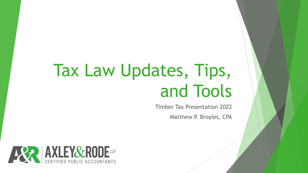# Tax Law Updates, Tips, and Tools

Timber Tax Presentation 2022

Matthew P. Broyles, CPA

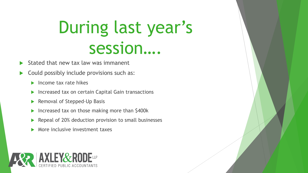# During last year's session….

- Stated that new tax law was immanent
- Could possibly include provisions such as:
	- $\blacktriangleright$  Income tax rate hikes
	- **Increased tax on certain Capital Gain transactions**
	- Removal of Stepped-Up Basis
	- Increased tax on those making more than \$400k
	- Repeal of 20% deduction provision to small businesses
	- More inclusive investment taxes

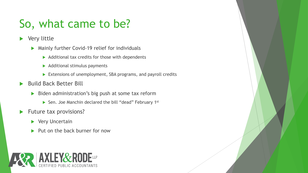# So, what came to be?

- Very little
	- Mainly further Covid-19 relief for individuals
		- $\blacktriangleright$  Additional tax credits for those with dependents
		- $\blacktriangleright$  Additional stimulus payments
		- Extensions of unemployment, SBA programs, and payroll credits
- Build Back Better Bill
	- $\triangleright$  Biden administration's big push at some tax reform
		- ▶ Sen. Joe Manchin declared the bill "dead" February 1<sup>st</sup>
- $\blacktriangleright$  Future tax provisions?
	- ▶ Very Uncertain
	- Put on the back burner for now

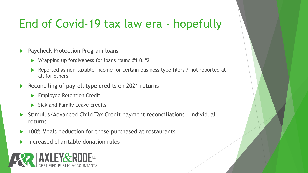## End of Covid-19 tax law era - hopefully

- Paycheck Protection Program loans
	- **No Wrapping up forgiveness for loans round #1 & #2**
	- Reported as non-taxable income for certain business type filers / not reported at all for others
- Reconciling of payroll type credits on 2021 returns
	- **Employee Retention Credit**
	- $\triangleright$  Sick and Family Leave credits
- Stimulus/Advanced Child Tax Credit payment reconciliations Individual returns
- 100% Meals deduction for those purchased at restaurants
- Increased charitable donation rules

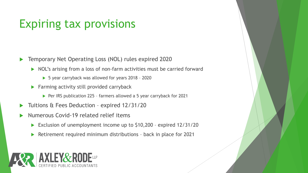### Expiring tax provisions

- Temporary Net Operating Loss (NOL) rules expired 2020
	- ▶ NOL's arising from a loss of non-farm activities must be carried forward
		- ▶ 5 year carryback was allowed for years 2018 2020
	- $\blacktriangleright$  Farming activity still provided carryback
		- ▶ Per IRS publication 225 farmers allowed a 5 year carryback for 2021
- Tuitions & Fees Deduction expired 12/31/20
- Numerous Covid-19 related relief items
	- ▶ Exclusion of unemployment income up to \$10,200 expired 12/31/20
	- ▶ Retirement required minimum distributions back in place for 2021

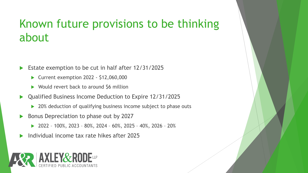### Known future provisions to be thinking about

- Estate exemption to be cut in half after 12/31/2025
	- ▶ Current exemption 2022 \$12,060,000
	- ▶ Would revert back to around \$6 million
- Qualified Business Income Deduction to Expire 12/31/2025
	- ▶ 20% deduction of qualifying business income subject to phase outs
- Bonus Depreciation to phase out by 2027
	- 2022 100%, 2023 80%, 2024 60%, 2025 40%, 2026 20%
- Individual income tax rate hikes after 2025

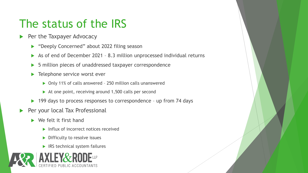#### The status of the IRS

- Per the Taxpayer Advocacy
	- ▶ "Deeply Concerned" about 2022 filing season
	- ▶ As of end of December 2021 8.3 million unprocessed individual returns
	- ▶ 5 million pieces of unaddressed taxpayer correspondence
	- ▶ Telephone service worst ever
		- ▶ Only 11% of calls answered 250 million calls unanswered
		- $\triangleright$  At one point, receiving around 1,500 calls per second
	- ▶ 199 days to process responses to correspondence up from 74 days
- Per your local Tax Professional
	- $\blacktriangleright$  We felt it first hand
		- Influx of incorrect notices received
		- Difficulty to resolve issues
		- $\blacktriangleright$  IRS technical system failures

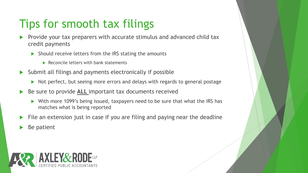# Tips for smooth tax filings

- Provide your tax preparers with accurate stimulus and advanced child tax credit payments
	- $\triangleright$  Should receive letters from the IRS stating the amounts
		- $\blacktriangleright$  Reconcile letters with bank statements
- Submit all filings and payments electronically if possible
	- Not perfect, but seeing more errors and delays with regards to general postage
- Be sure to provide **ALL** important tax documents received
	- ▶ With more 1099's being issued, taxpayers need to be sure that what the IRS has matches what is being reported
- File an extension just in case if you are filing and paying near the deadline
- Be patient

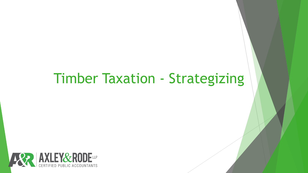# Timber Taxation - Strategizing

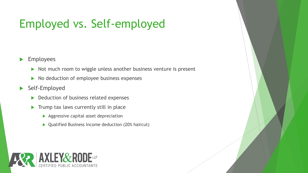# Employed vs. Self-employed

#### **Employees**

- Not much room to wiggle unless another business venture is present
- $\triangleright$  No deduction of employee business expenses
- ▶ Self-Employed
	- Deduction of business related expenses
	- $\blacktriangleright$  Trump tax laws currently still in place
		- Aggressive capital asset depreciation
		- ▶ Qualified Business Income deduction (20% haircut)

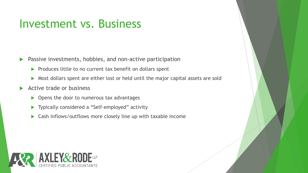#### Investment vs. Business

- **Passive investments, hobbies, and non-active participation** 
	- $\triangleright$  Produces little to no current tax benefit on dollars spent
	- Most dollars spent are either lost or held until the major capital assets are sold
- Active trade or business
	- ▶ Opens the door to numerous tax advantages
	- ▶ Typically considered a "Self-employed" activity
	- ▶ Cash inflows/outflows more closely line up with taxable income

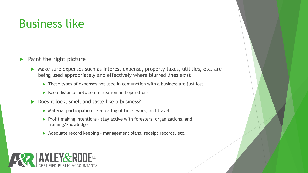#### Business like

- $\blacktriangleright$  Paint the right picture
	- ▶ Make sure expenses such as interest expense, property taxes, utilities, etc. are being used appropriately and effectively where blurred lines exist
		- ▶ These types of expenses not used in conjunction with a business are just lost
		- $\blacktriangleright$  Keep distance between recreation and operations
	- ▶ Does it look, smell and taste like a business?
		- ▶ Material participation keep a log of time, work, and travel
		- $\triangleright$  Profit making intentions stay active with foresters, organizations, and training/knowledge
		- Adequate record keeping management plans, receipt records, etc.

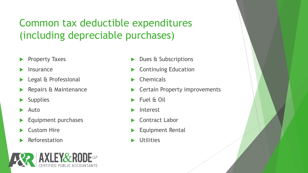Common tax deductible expenditures (including depreciable purchases)

- Property Taxes
- Insurance
- Legal & Professional
- Repairs & Maintenance
- **Supplies**
- Auto
- Equipment purchases
- Custom Hire
- Reforestation



- Dues & Subscriptions
- Continuing Education
- Chemicals
- Certain Property improvements
- ▶ Fuel & Oil
- Interest
- Contract Labor
- Equipment Rental
- **Utilities**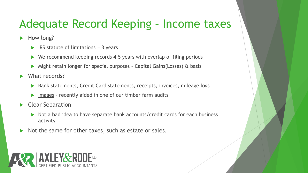### Adequate Record Keeping – Income taxes

How long?

- $\triangleright$  IRS statute of limitations = 3 years
- $\triangleright$  We recommend keeping records 4-5 years with overlap of filing periods
- Might retain longer for special purposes Capital Gains(Losses) & basis
- What records?
	- ▶ Bank statements, Credit Card statements, receipts, invoices, mileage logs
	- Images recently aided in one of our timber farm audits
- Clear Separation
	- Not a bad idea to have separate bank accounts/credit cards for each business activity
- Not the same for other taxes, such as estate or sales.

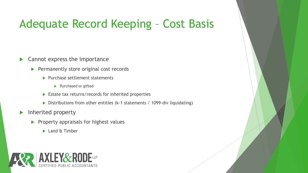#### Adequate Record Keeping – Cost Basis

- $\blacktriangleright$  Cannot express the importance
	- $\blacktriangleright$  Permanently store original cost records
		- $\blacktriangleright$  Purchase settlement statements
			- Purchased or gifted
		- Estate tax returns/records for inherited properties
		- $\triangleright$  Distributions from other entities (k-1 statements / 1099-div liquidating)
- Inherited property
	- $\blacktriangleright$  Property appraisals for highest values
		- ► Land & Timber

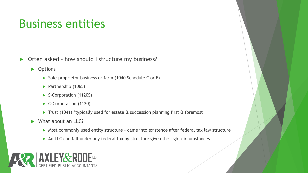#### Business entities

▶ Often asked - how should I structure my business?

▶ Options

- Sole-proprietor business or farm (1040 Schedule C or F)
- Partnership (1065)
- S-Corporation (1120S)
- ▶ C-Corporation (1120)
- Trust (1041) \*typically used for estate & succession planning first & foremost
- What about an LLC?
	- ▶ Most commonly used entity structure came into existence after federal tax law structure
	- An LLC can fall under any federal taxing structure given the right circumstances

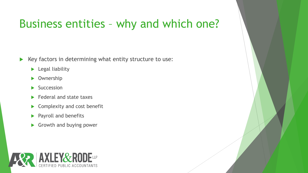#### Business entities – why and which one?

- $\blacktriangleright$  Key factors in determining what entity structure to use:
	- **Legal liability**
	- ▶ Ownership
	- $\blacktriangleright$  Succession
	- $\blacktriangleright$  Federal and state taxes
	- Complexity and cost benefit
	- Payroll and benefits
	- Growth and buying power

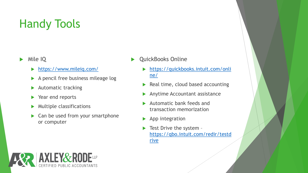- Mile IQ
	- <https://www.mileiq.com/>
	- A pencil free business mileage log
	- Automatic tracking
	- ▶ Year end reports
	- $\blacktriangleright$  Multiple classifications
	- ▶ Can be used from your smartphone or computer
- QuickBooks Online
	- [https://quickbooks.intuit.com/onli](https://quickbooks.intuit.com/online/) ne/
	- Real time, cloud based accounting
	- Anytime Accountant assistance
	- Automatic bank feeds and transaction memorization
	- $\blacktriangleright$  App integration
	- Test Drive the system [https://qbo.intuit.com/redir/testd](https://qbo.intuit.com/redir/testdrive) rive

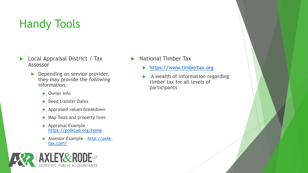- ▶ Local Appraisal District / Tax Assessor
	- **Depending on service provider,** they may provide the following information:
		- ▶ Owner Info
		- ▶ Deed transfer Dates
		- **Appraised values breakdown**
		- ▶ Map Tools and property lines
		- Appraisal Example <https://polkcad.org/home>
		- [Assessor Example -](http://polk-tax.com/) http://polktax.com/



- National Timber Tax
	- [https://www.timbertax.org](https://www.timbertax.org/)
	- A wealth of information regarding timber tax for all levels of participants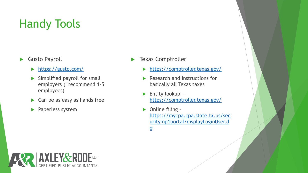- Gusto Payroll
	- <https://gusto.com/>
	- $\blacktriangleright$  Simplified payroll for small employers (I recommend 1-5 employees)
	- $\triangleright$  Can be as easy as hands free
	- **Paperless system**
- Texas Comptroller
	- <https://comptroller.texas.gov/>
	- Research and instructions for basically all Texas taxes
	- ▶ Entity lookup <https://comptroller.texas.gov/>
	- $\triangleright$  Online filing https://mycpa.cpa.state.tx.us/sec [uritymp1portal/displayLoginUser.d](https://mycpa.cpa.state.tx.us/securitymp1portal/displayLoginUser.do) o

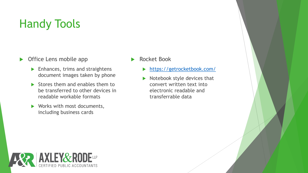- ▶ Office Lens mobile app
	- $\blacktriangleright$  Enhances, trims and straightens document images taken by phone
	- $\triangleright$  Stores them and enables them to be transferred to other devices in readable workable formats
	- ▶ Works with most documents, including business cards
- Rocket Book
	- <https://getrocketbook.com/>
	- Notebook style devices that convert written text into electronic readable and transferrable data